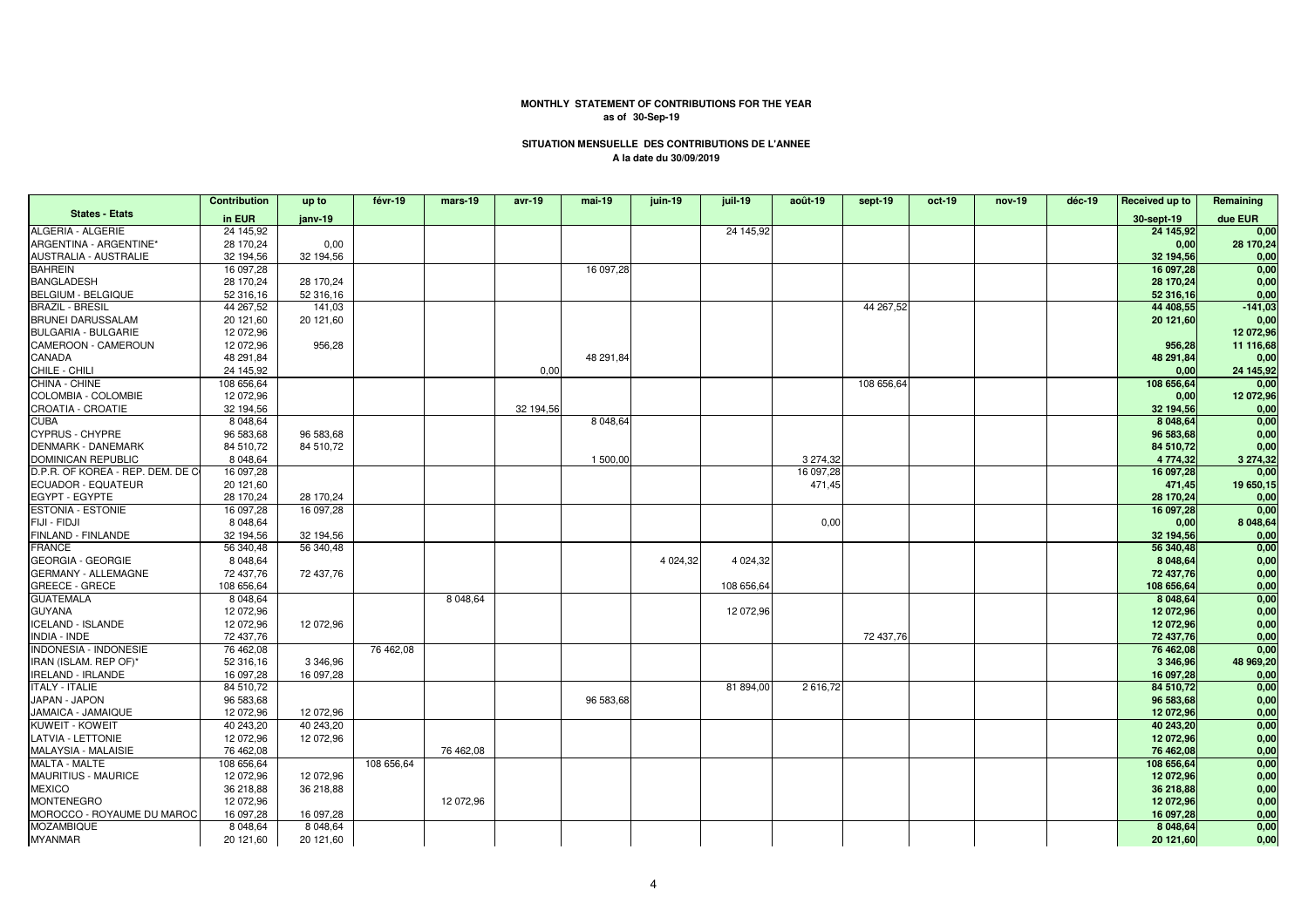## **MONTHLY STATEMENT OF CONTRIBUTIONS FOR THE YEARas of 30-Sep-19**

## **SITUATION MENSUELLE DES CONTRIBUTIONS DE L'ANNEEA la date du 30/09/2019**

|                                    | <b>Contribution</b> | up to     | févr-19    | mars-19   | avr-19    | mai-19    | juin-19    | juil-19    | août-19   | sept-19    | $oct-19$ | nov-19 | déc-19 | Received up to | Remaining |
|------------------------------------|---------------------|-----------|------------|-----------|-----------|-----------|------------|------------|-----------|------------|----------|--------|--------|----------------|-----------|
| <b>States - Etats</b>              | in EUR              | janv-19   |            |           |           |           |            |            |           |            |          |        |        | 30-sept-19     | due EUR   |
| ALGERIA - ALGERIE                  | 24 145,92           |           |            |           |           |           |            | 24 145,92  |           |            |          |        |        | 24 145,92      | 0,00      |
| ARGENTINA - ARGENTINE*             | 28 170,24           | 0,00      |            |           |           |           |            |            |           |            |          |        |        | 0,00           | 28 170,24 |
| AUSTRALIA - AUSTRALIE              | 32 194,56           | 32 194,56 |            |           |           |           |            |            |           |            |          |        |        | 32 194.56      | 0,00      |
| <b>BAHREIN</b>                     | 16 097,28           |           |            |           |           | 16 097,28 |            |            |           |            |          |        |        | 16 097,28      | 0,00      |
| <b>BANGLADESH</b>                  | 28 170,24           | 28 170.24 |            |           |           |           |            |            |           |            |          |        |        | 28 170.24      | 0,00      |
| <b>BELGIUM - BELGIQUE</b>          | 52 316,16           | 52 316,16 |            |           |           |           |            |            |           |            |          |        |        | 52 316,16      | 0,00      |
| <b>BRAZIL - BRESIL</b>             | 44 267,52           | 141.03    |            |           |           |           |            |            |           | 44 267.52  |          |        |        | 44 408,55      | $-141,03$ |
| <b>BRUNEI DARUSSALAM</b>           | 20 121,60           | 20 121,60 |            |           |           |           |            |            |           |            |          |        |        | 20 121,60      | 0,00      |
| <b>BULGARIA - BULGARIE</b>         | 12 072.96           |           |            |           |           |           |            |            |           |            |          |        |        |                | 12 072,96 |
| CAMEROON - CAMEROUN                | 12 072,96           | 956,28    |            |           |           |           |            |            |           |            |          |        |        | 956,28         | 11 116,68 |
| CANADA                             | 48 291,84           |           |            |           |           | 48 291,84 |            |            |           |            |          |        |        | 48 291,84      | 0,00      |
| CHILE - CHILI                      | 24 145.92           |           |            |           | 0.00      |           |            |            |           |            |          |        |        | 0,00           | 24 145,92 |
| CHINA - CHINE                      | 108 656,64          |           |            |           |           |           |            |            |           | 108 656,64 |          |        |        | 108 656,64     | 0,00      |
| COLOMBIA - COLOMBIE                | 12 072,96           |           |            |           |           |           |            |            |           |            |          |        |        | 0,00           | 12 072,96 |
| CROATIA - CROATIE                  | 32 194,56           |           |            |           | 32 194,56 |           |            |            |           |            |          |        |        | 32 194,56      | 0,00      |
| <b>CUBA</b>                        | 8 048,64            |           |            |           |           | 8 048,64  |            |            |           |            |          |        |        | 8 048,64       | 0,00      |
| <b>CYPRUS - CHYPRE</b>             | 96 583,68           | 96 583.68 |            |           |           |           |            |            |           |            |          |        |        | 96 583.68      | 0,00      |
| <b>DENMARK - DANEMARK</b>          | 84 510,72           | 84 510,72 |            |           |           |           |            |            |           |            |          |        |        | 84 510,72      | 0,00      |
| <b>DOMINICAN REPUBLIC</b>          | 8 048,64            |           |            |           |           | 1 500,00  |            |            | 3 274,32  |            |          |        |        | 4 774,32       | 3 274,32  |
| D.P.R. OF KOREA - REP. DEM. DE C   | 16 097,28           |           |            |           |           |           |            |            | 16 097,28 |            |          |        |        | 16 097,28      | 0,00      |
| <b>ECUADOR - EQUATEUR</b>          | 20 121,60           |           |            |           |           |           |            |            | 471,45    |            |          |        |        | 471,45         | 19 650,15 |
| EGYPT - EGYPTE                     | 28 170,24           | 28 170.24 |            |           |           |           |            |            |           |            |          |        |        | 28 170,24      | 0,00      |
| <b>ESTONIA - ESTONIE</b>           | 16 097,28           | 16 097,28 |            |           |           |           |            |            |           |            |          |        |        | 16 097,28      | 0,00      |
| FIJI - FIDJI                       | 8 0 48, 64          |           |            |           |           |           |            |            | 0,00      |            |          |        |        | 0,00           | 8 048,64  |
| FINLAND - FINLANDE                 | 32 194,56           | 32 194,56 |            |           |           |           |            |            |           |            |          |        |        | 32 194,56      | 0,00      |
| <b>FRANCE</b>                      | 56 340,48           | 56 340.48 |            |           |           |           |            |            |           |            |          |        |        | 56 340,48      | 0,00      |
| <b>GEORGIA - GEORGIE</b>           | 8 0 48, 64          |           |            |           |           |           | 4 0 24, 32 | 4 0 24, 32 |           |            |          |        |        | 8 048,64       | 0,00      |
| <b>GERMANY - ALLEMAGNE</b>         | 72 437,76           | 72 437,76 |            |           |           |           |            |            |           |            |          |        |        | 72 437,76      | 0,00      |
| <b>GREECE - GRECE</b>              | 108 656,64          |           |            |           |           |           |            | 108 656,64 |           |            |          |        |        | 108 656,64     | 0,00      |
| <b>GUATEMALA</b>                   | 8 048,64            |           |            | 8 048,64  |           |           |            |            |           |            |          |        |        | 8 048,64       | 0,00      |
| <b>GUYANA</b>                      | 12 072,96           |           |            |           |           |           |            | 12 072,96  |           |            |          |        |        | 12 072,96      | 0,00      |
| <b>ICELAND - ISLANDE</b>           | 12 072,96           | 12 072,96 |            |           |           |           |            |            |           |            |          |        |        | 12 072,96      | 0,00      |
| INDIA - INDE                       | 72 437,76           |           |            |           |           |           |            |            |           | 72 437,76  |          |        |        | 72 437,76      | 0,00      |
| <b>INDONESIA - INDONESIE</b>       | 76 462,08           |           | 76 462,08  |           |           |           |            |            |           |            |          |        |        | 76 462,08      | 0,00      |
| IRAN (ISLAM. REP OF)*              | 52 316,16           | 3 346,96  |            |           |           |           |            |            |           |            |          |        |        | 3 3 4 6,96     | 48 969,20 |
| <b>IRELAND - IRLANDE</b>           | 16 097,28           | 16 097,28 |            |           |           |           |            |            |           |            |          |        |        | 16 097,28      | 0,00      |
| <b>ITALY - ITALIE</b>              | 84 510,72           |           |            |           |           |           |            | 81 894,00  | 2 616,72  |            |          |        |        | 84 510,72      | 0,00      |
| JAPAN - JAPON                      | 96 583,68           |           |            |           |           | 96 583,68 |            |            |           |            |          |        |        | 96 583,68      | 0,00      |
| JAMAICA - JAMAIQUE                 | 12 072,96           | 12 072,96 |            |           |           |           |            |            |           |            |          |        |        | 12 072,96      | 0,00      |
| <b>KUWEIT - KOWEIT</b>             | 40 243,20           | 40 243.20 |            |           |           |           |            |            |           |            |          |        |        | 40 243,20      | 0,00      |
| <b>LATVIA - LETTONIE</b>           | 12 072,96           | 12 072,96 |            |           |           |           |            |            |           |            |          |        |        | 12 072,96      | 0,00      |
| MALAYSIA - MALAISIE                | 76 462,08           |           |            | 76 462,08 |           |           |            |            |           |            |          |        |        | 76 462,08      | 0,00      |
| MALTA - MALTE                      | 108 656,64          |           | 108 656,64 |           |           |           |            |            |           |            |          |        |        | 108 656,64     | 0,00      |
| MAURITIUS - MAURICE                | 12 072,96           | 12 072,96 |            |           |           |           |            |            |           |            |          |        |        | 12 072,96      | 0,00      |
|                                    | 36 218,88           |           |            |           |           |           |            |            |           |            |          |        |        | 36 218,88      | 0,00      |
| <b>MEXICO</b><br><b>MONTENEGRO</b> | 12 072,96           | 36 218,88 |            | 12 072.96 |           |           |            |            |           |            |          |        |        |                | 0,00      |
|                                    |                     |           |            |           |           |           |            |            |           |            |          |        |        | 12 072,96      |           |
| MOROCCO - ROYAUME DU MAROC         | 16 097,28           | 16 097,28 |            |           |           |           |            |            |           |            |          |        |        | 16 097,28      | 0,00      |
| <b>MOZAMBIQUE</b>                  | 8 048,64            | 8 048,64  |            |           |           |           |            |            |           |            |          |        |        | 8 048,64       | 0,00      |
| <b>MYANMAR</b>                     | 20 121,60           | 20 121,60 |            |           |           |           |            |            |           |            |          |        |        | 20 121,60      | 0,00      |